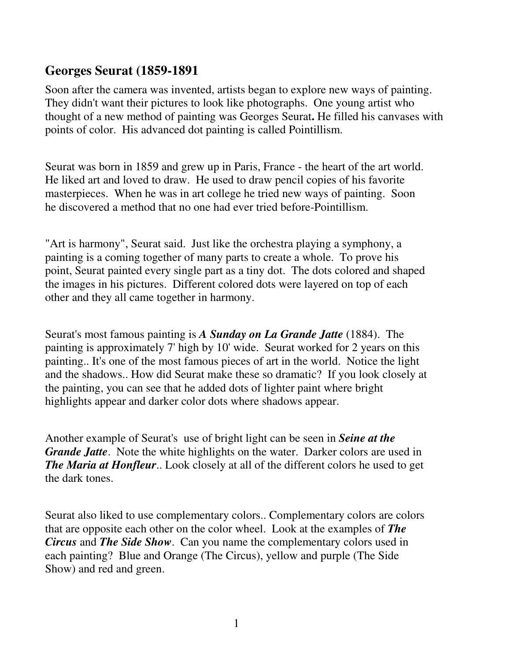## **Georges Seurat (1859-1891**

Soon after the camera was invented, artists began to explore new ways of painting. They didn't want their pictures to look like photographs. One young artist who thought of a new method of painting was Georges Seurat**.** He filled his canvases with points of color. His advanced dot painting is called Pointillism.

Seurat was born in 1859 and grew up in Paris, France - the heart of the art world. He liked art and loved to draw. He used to draw pencil copies of his favorite masterpieces. When he was in art college he tried new ways of painting. Soon he discovered a method that no one had ever tried before-Pointillism.

"Art is harmony", Seurat said. Just like the orchestra playing a symphony, a painting is a coming together of many parts to create a whole. To prove his point, Seurat painted every single part as a tiny dot. The dots colored and shaped the images in his pictures. Different colored dots were layered on top of each other and they all came together in harmony.

Seurat's most famous painting is *A Sunday on La Grande Jatte* (1884). The painting is approximately 7' high by 10' wide. Seurat worked for 2 years on this painting.. It's one of the most famous pieces of art in the world. Notice the light and the shadows.. How did Seurat make these so dramatic? If you look closely at the painting, you can see that he added dots of lighter paint where bright highlights appear and darker color dots where shadows appear.

Another example of Seurat's use of bright light can be seen in *Seine at the Grande Jatte*. Note the white highlights on the water. Darker colors are used in *The Maria at Honfleur*.. Look closely at all of the different colors he used to get the dark tones.

Seurat also liked to use complementary colors.. Complementary colors are colors that are opposite each other on the color wheel. Look at the examples of *The Circus* and *The Side Show*. Can you name the complementary colors used in each painting? Blue and Orange (The Circus), yellow and purple (The Side Show) and red and green.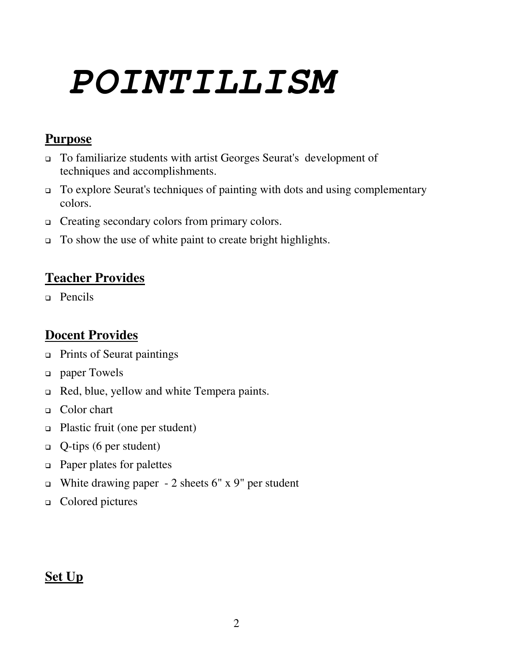# **POINTILLISM**

## **Purpose**

- To familiarize students with artist Georges Seurat's development of techniques and accomplishments.
- To explore Seurat's techniques of painting with dots and using complementary colors.
- Creating secondary colors from primary colors.
- $\Box$  To show the use of white paint to create bright highlights.

## **Teacher Provides**

**Pencils** 

## **Docent Provides**

- Prints of Seurat paintings
- paper Towels
- □ Red, blue, yellow and white Tempera paints.
- □ Color chart
- Plastic fruit (one per student)
- $Q$ -tips (6 per student)
- Paper plates for palettes
- White drawing paper 2 sheets 6" x 9" per student
- □ Colored pictures

## **Set Up**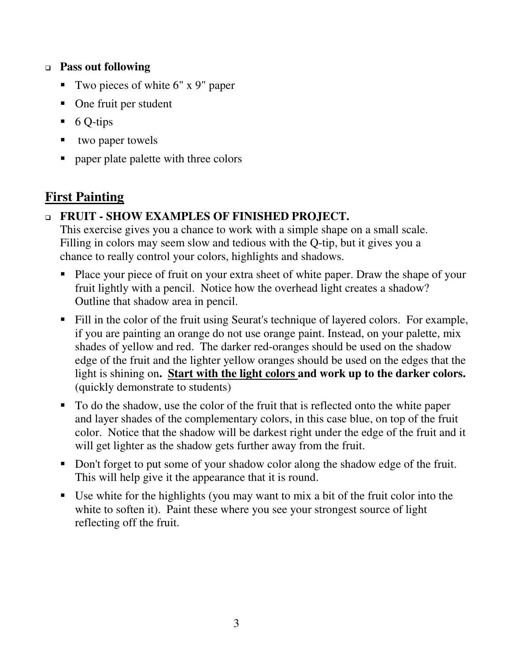#### **Pass out following**

- Two pieces of white 6" x 9" paper
- One fruit per student
- $\blacksquare$  6 Q-tips
- two paper towels
- paper plate palette with three colors

## **First Painting**

## **FRUIT - SHOW EXAMPLES OF FINISHED PROJECT.**

This exercise gives you a chance to work with a simple shape on a small scale. Filling in colors may seem slow and tedious with the Q-tip, but it gives you a chance to really control your colors, highlights and shadows.

- Place your piece of fruit on your extra sheet of white paper. Draw the shape of your fruit lightly with a pencil. Notice how the overhead light creates a shadow? Outline that shadow area in pencil.
- Fill in the color of the fruit using Seurat's technique of layered colors. For example, if you are painting an orange do not use orange paint. Instead, on your palette, mix shades of yellow and red. The darker red-oranges should be used on the shadow edge of the fruit and the lighter yellow oranges should be used on the edges that the light is shining on**. Start with the light colors and work up to the darker colors.** (quickly demonstrate to students)
- To do the shadow, use the color of the fruit that is reflected onto the white paper and layer shades of the complementary colors, in this case blue, on top of the fruit color. Notice that the shadow will be darkest right under the edge of the fruit and it will get lighter as the shadow gets further away from the fruit.
- Don't forget to put some of your shadow color along the shadow edge of the fruit. This will help give it the appearance that it is round.
- Use white for the highlights (you may want to mix a bit of the fruit color into the white to soften it). Paint these where you see your strongest source of light reflecting off the fruit.